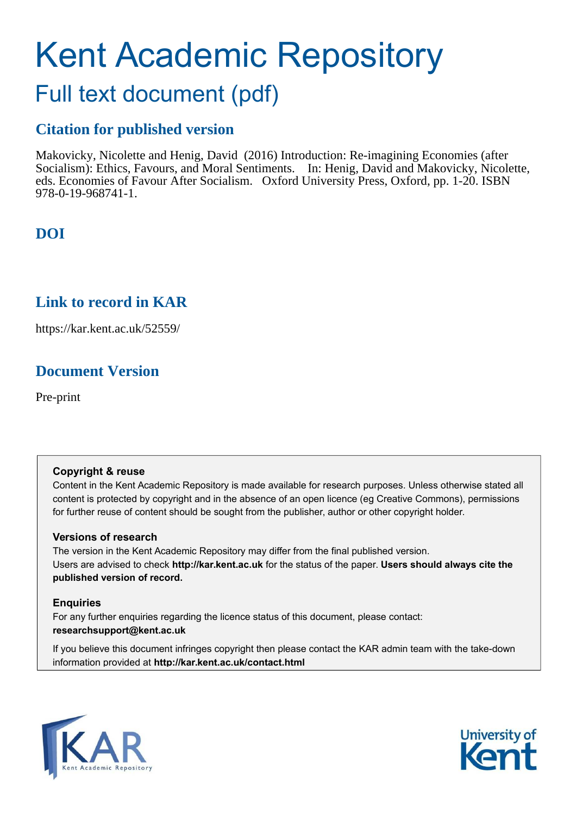# Kent Academic Repository

# Full text document (pdf)

## **Citation for published version**

Makovicky, Nicolette and Henig, David (2016) Introduction: Re-imagining Economies (after Socialism): Ethics, Favours, and Moral Sentiments. In: Henig, David and Makovicky, Nicolette, eds. Economies of Favour After Socialism. Oxford University Press, Oxford, pp. 1-20. ISBN 978-0-19-968741-1.

## **DOI**

## **Link to record in KAR**

https://kar.kent.ac.uk/52559/

## **Document Version**

Pre-print

## **Copyright & reuse**

Content in the Kent Academic Repository is made available for research purposes. Unless otherwise stated all content is protected by copyright and in the absence of an open licence (eg Creative Commons), permissions for further reuse of content should be sought from the publisher, author or other copyright holder.

## **Versions of research**

The version in the Kent Academic Repository may differ from the final published version. Users are advised to check **http://kar.kent.ac.uk** for the status of the paper. **Users should always cite the published version of record.**

## **Enquiries**

For any further enquiries regarding the licence status of this document, please contact: **researchsupport@kent.ac.uk**

If you believe this document infringes copyright then please contact the KAR admin team with the take-down information provided at **http://kar.kent.ac.uk/contact.html**



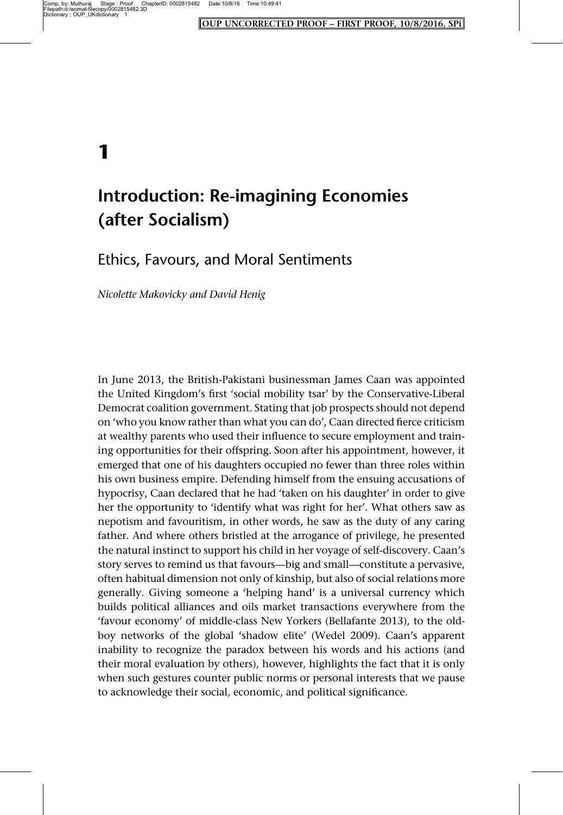## **1**

## **Introduction: Re-imagining Economies (after Socialism)**

Ethics, Favours, and Moral Sentiments

*Nicolette Makovicky and David Henig*

In June 2013, the British-Pakistani businessman James Caan was appointed the United Kingdom's first 'social mobility tsar' by the Conservative-Liberal Democrat coalition government. Stating that job prospects should not depend on 'who you know rather than what you can do', Caan directed fierce criticism at wealthy parents who used their influence to secure employment and training opportunities for their offspring. Soon after his appointment, however, it emerged that one of his daughters occupied no fewer than three roles within his own business empire. Defending himself from the ensuing accusations of hypocrisy, Caan declared that he had 'taken on his daughter' in order to give her the opportunity to 'identify what was right for her'. What others saw as nepotism and favouritism, in other words, he saw as the duty of any caring father. And where others bristled at the arrogance of privilege, he presented the natural instinct to support his child in her voyage of self-discovery. Caan's story serves to remind us that favours—big and small—constitute a pervasive, often habitual dimension not only of kinship, but also of social relations more generally. Giving someone a 'helping hand' is a universal currency which builds political alliances and oils market transactions everywhere from the 'favour economy' of middle-class New Yorkers (Bellafante 2013), to the oldboy networks of the global 'shadow elite' (Wedel 2009). Caan's apparent inability to recognize the paradox between his words and his actions (and their moral evaluation by others), however, highlights the fact that it is only when such gestures counter public norms or personal interests that we pause to acknowledge their social, economic, and political significance.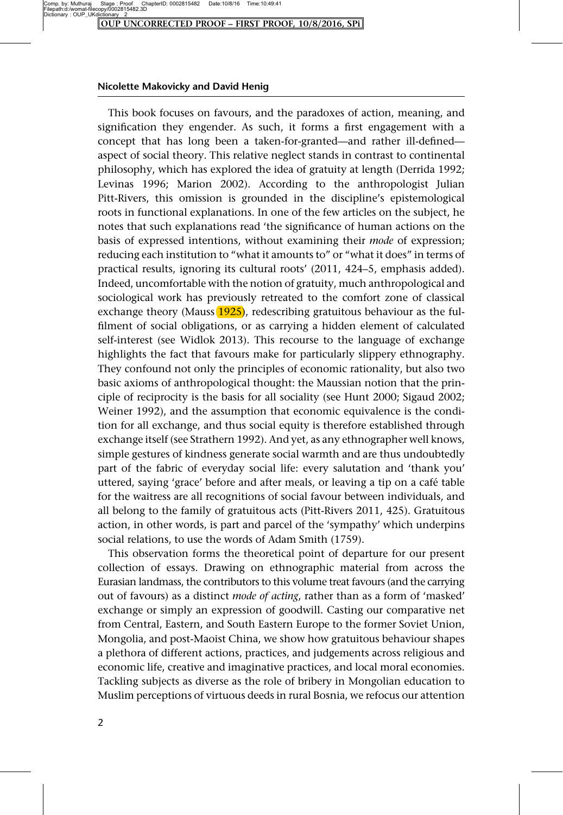This book focuses on favours, and the paradoxes of action, meaning, and signification they engender. As such, it forms a first engagement with a concept that has long been a taken-for-granted—and rather ill-defined aspect of social theory. This relative neglect stands in contrast to continental philosophy, which has explored the idea of gratuity at length (Derrida 1992; Levinas 1996; Marion 2002). According to the anthropologist Julian Pitt-Rivers, this omission is grounded in the discipline's epistemological roots in functional explanations. In one of the few articles on the subject, he notes that such explanations read 'the significance of human actions on the basis of expressed intentions, without examining their *mode* of expression; reducing each institution to "what it amounts to" or "what it does" in terms of practical results, ignoring its cultural roots' (2011, 424–5, emphasis added). Indeed, uncomfortable with the notion of gratuity, much anthropological and sociological work has previously retreated to the comfort zone of classical exchange theory (Mauss 1925), redescribing gratuitous behaviour as the fulfilment of social obligations, or as carrying a hidden element of calculated self-interest (see Widlok 2013). This recourse to the language of exchange highlights the fact that favours make for particularly slippery ethnography. They confound not only the principles of economic rationality, but also two basic axioms of anthropological thought: the Maussian notion that the principle of reciprocity is the basis for all sociality (see Hunt 2000; Sigaud 2002; Weiner 1992), and the assumption that economic equivalence is the condition for all exchange, and thus social equity is therefore established through exchange itself (see Strathern 1992). And yet, as any ethnographer well knows, simple gestures of kindness generate social warmth and are thus undoubtedly part of the fabric of everyday social life: every salutation and 'thank you' uttered, saying 'grace' before and after meals, or leaving a tip on a café table for the waitress are all recognitions of social favour between individuals, and all belong to the family of gratuitous acts (Pitt-Rivers 2011, 425). Gratuitous action, in other words, is part and parcel of the 'sympathy' which underpins social relations, to use the words of Adam Smith (1759).

This observation forms the theoretical point of departure for our present collection of essays. Drawing on ethnographic material from across the Eurasian landmass, the contributors to this volume treat favours (and the carrying out of favours) as a distinct *mode of acting*, rather than as a form of 'masked' exchange or simply an expression of goodwill. Casting our comparative net from Central, Eastern, and South Eastern Europe to the former Soviet Union, Mongolia, and post-Maoist China, we show how gratuitous behaviour shapes a plethora of different actions, practices, and judgements across religious and economic life, creative and imaginative practices, and local moral economies. Tackling subjects as diverse as the role of bribery in Mongolian education to Muslim perceptions of virtuous deeds in rural Bosnia, we refocus our attention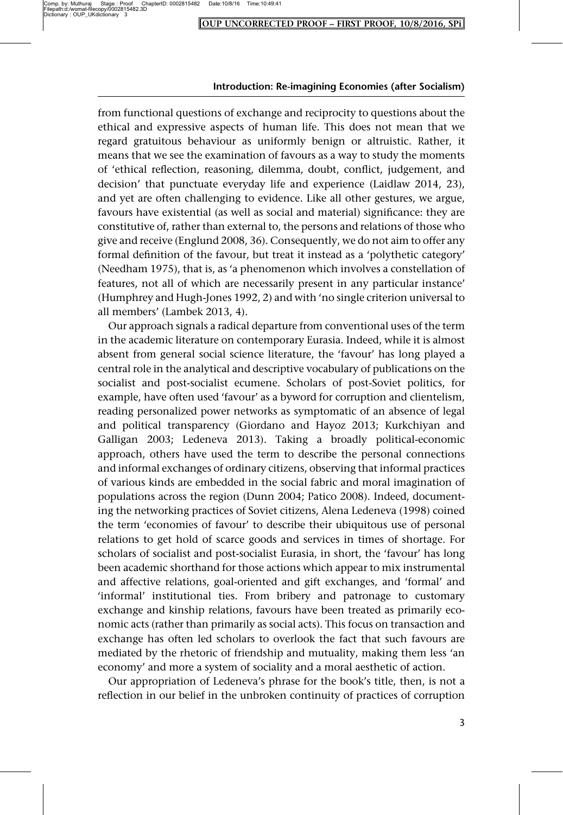from functional questions of exchange and reciprocity to questions about the ethical and expressive aspects of human life. This does not mean that we regard gratuitous behaviour as uniformly benign or altruistic. Rather, it means that we see the examination of favours as a way to study the moments of 'ethical reflection, reasoning, dilemma, doubt, conflict, judgement, and decision' that punctuate everyday life and experience (Laidlaw 2014, 23), and yet are often challenging to evidence. Like all other gestures, we argue, favours have existential (as well as social and material) significance: they are constitutive of, rather than external to, the persons and relations of those who give and receive (Englund 2008, 36). Consequently, we do not aim to offer any formal definition of the favour, but treat it instead as a 'polythetic category' (Needham 1975), that is, as 'a phenomenon which involves a constellation of features, not all of which are necessarily present in any particular instance' (Humphrey and Hugh-Jones 1992, 2) and with 'no single criterion universal to all members' (Lambek 2013, 4).

Our approach signals a radical departure from conventional uses of the term in the academic literature on contemporary Eurasia. Indeed, while it is almost absent from general social science literature, the 'favour' has long played a central role in the analytical and descriptive vocabulary of publications on the socialist and post-socialist ecumene. Scholars of post-Soviet politics, for example, have often used 'favour' as a byword for corruption and clientelism, reading personalized power networks as symptomatic of an absence of legal and political transparency (Giordano and Hayoz 2013; Kurkchiyan and Galligan 2003; Ledeneva 2013). Taking a broadly political-economic approach, others have used the term to describe the personal connections and informal exchanges of ordinary citizens, observing that informal practices of various kinds are embedded in the social fabric and moral imagination of populations across the region (Dunn 2004; Patico 2008). Indeed, documenting the networking practices of Soviet citizens, Alena Ledeneva (1998) coined the term 'economies of favour' to describe their ubiquitous use of personal relations to get hold of scarce goods and services in times of shortage. For scholars of socialist and post-socialist Eurasia, in short, the 'favour' has long been academic shorthand for those actions which appear to mix instrumental and affective relations, goal-oriented and gift exchanges, and 'formal' and 'informal' institutional ties. From bribery and patronage to customary exchange and kinship relations, favours have been treated as primarily economic acts (rather than primarily as social acts). This focus on transaction and exchange has often led scholars to overlook the fact that such favours are mediated by the rhetoric of friendship and mutuality, making them less 'an economy' and more a system of sociality and a moral aesthetic of action.

Our appropriation of Ledeneva's phrase for the book's title, then, is not a reflection in our belief in the unbroken continuity of practices of corruption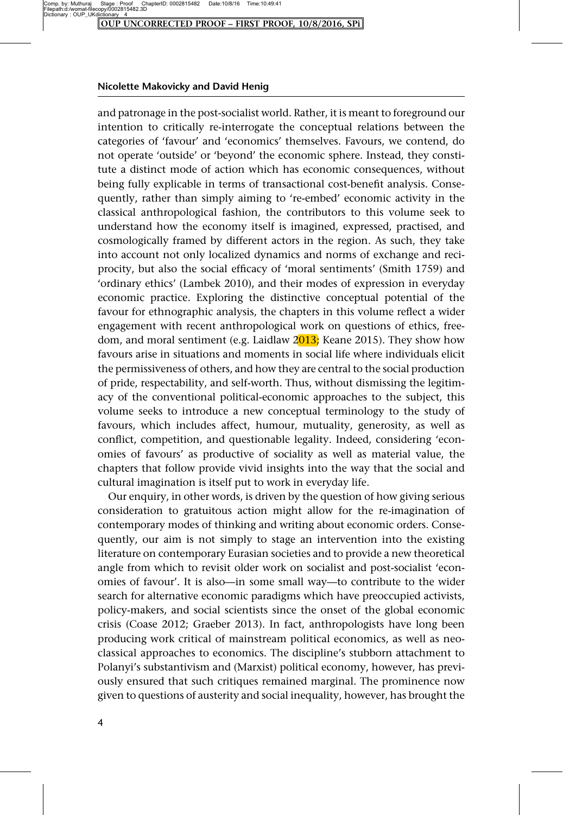and patronage in the post-socialist world. Rather, it is meant to foreground our intention to critically re-interrogate the conceptual relations between the categories of 'favour' and 'economics' themselves. Favours, we contend, do not operate 'outside' or 'beyond' the economic sphere. Instead, they constitute a distinct mode of action which has economic consequences, without being fully explicable in terms of transactional cost-benefit analysis. Consequently, rather than simply aiming to 're-embed' economic activity in the classical anthropological fashion, the contributors to this volume seek to understand how the economy itself is imagined, expressed, practised, and cosmologically framed by different actors in the region. As such, they take into account not only localized dynamics and norms of exchange and reciprocity, but also the social efficacy of 'moral sentiments' (Smith 1759) and 'ordinary ethics' (Lambek 2010), and their modes of expression in everyday economic practice. Exploring the distinctive conceptual potential of the favour for ethnographic analysis, the chapters in this volume reflect a wider engagement with recent anthropological work on questions of ethics, freedom, and moral sentiment (e.g. Laidlaw  $2013$ ; Keane 2015). They show how favours arise in situations and moments in social life where individuals elicit the permissiveness of others, and how they are central to the social production of pride, respectability, and self-worth. Thus, without dismissing the legitimacy of the conventional political-economic approaches to the subject, this volume seeks to introduce a new conceptual terminology to the study of favours, which includes affect, humour, mutuality, generosity, as well as conflict, competition, and questionable legality. Indeed, considering 'economies of favours' as productive of sociality as well as material value, the chapters that follow provide vivid insights into the way that the social and cultural imagination is itself put to work in everyday life.

Our enquiry, in other words, is driven by the question of how giving serious consideration to gratuitous action might allow for the re-imagination of contemporary modes of thinking and writing about economic orders. Consequently, our aim is not simply to stage an intervention into the existing literature on contemporary Eurasian societies and to provide a new theoretical angle from which to revisit older work on socialist and post-socialist 'economies of favour'. It is also—in some small way—to contribute to the wider search for alternative economic paradigms which have preoccupied activists, policy-makers, and social scientists since the onset of the global economic crisis (Coase 2012; Graeber 2013). In fact, anthropologists have long been producing work critical of mainstream political economics, as well as neoclassical approaches to economics. The discipline's stubborn attachment to Polanyi's substantivism and (Marxist) political economy, however, has previously ensured that such critiques remained marginal. The prominence now given to questions of austerity and social inequality, however, has brought the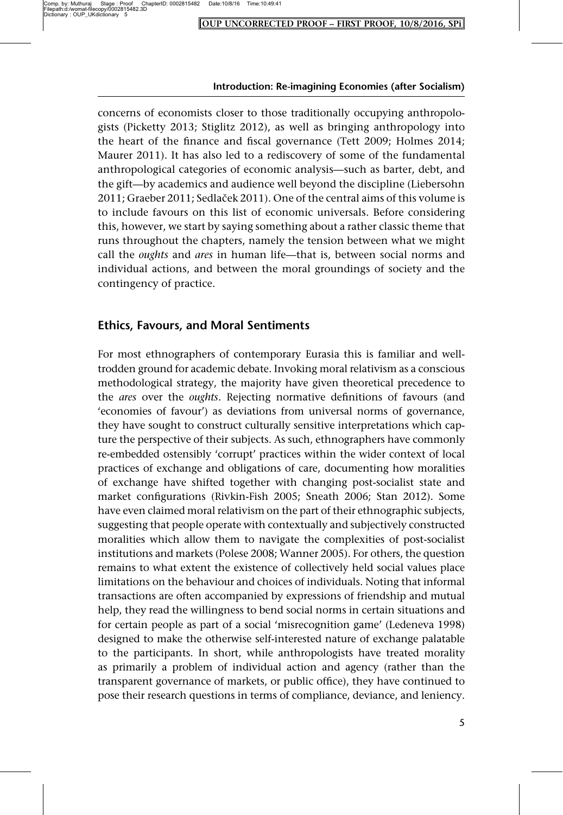concerns of economists closer to those traditionally occupying anthropologists (Picketty 2013; Stiglitz 2012), as well as bringing anthropology into the heart of the finance and fiscal governance (Tett 2009; Holmes 2014; Maurer 2011). It has also led to a rediscovery of some of the fundamental anthropological categories of economic analysis—such as barter, debt, and the gift—by academics and audience well beyond the discipline (Liebersohn 2011; Graeber 2011; Sedlaček 2011). One of the central aims of this volume is to include favours on this list of economic universals. Before considering this, however, we start by saying something about a rather classic theme that runs throughout the chapters, namely the tension between what we might call the *oughts* and *ares* in human life—that is, between social norms and individual actions, and between the moral groundings of society and the contingency of practice.

#### **Ethics, Favours, and Moral Sentiments**

For most ethnographers of contemporary Eurasia this is familiar and welltrodden ground for academic debate. Invoking moral relativism as a conscious methodological strategy, the majority have given theoretical precedence to the *ares* over the *oughts*. Rejecting normative definitions of favours (and 'economies of favour') as deviations from universal norms of governance, they have sought to construct culturally sensitive interpretations which capture the perspective of their subjects. As such, ethnographers have commonly re-embedded ostensibly 'corrupt' practices within the wider context of local practices of exchange and obligations of care, documenting how moralities of exchange have shifted together with changing post-socialist state and market configurations (Rivkin-Fish 2005; Sneath 2006; Stan 2012). Some have even claimed moral relativism on the part of their ethnographic subjects, suggesting that people operate with contextually and subjectively constructed moralities which allow them to navigate the complexities of post-socialist institutions and markets (Polese 2008; Wanner 2005). For others, the question remains to what extent the existence of collectively held social values place limitations on the behaviour and choices of individuals. Noting that informal transactions are often accompanied by expressions of friendship and mutual help, they read the willingness to bend social norms in certain situations and for certain people as part of a social 'misrecognition game' (Ledeneva 1998) designed to make the otherwise self-interested nature of exchange palatable to the participants. In short, while anthropologists have treated morality as primarily a problem of individual action and agency (rather than the transparent governance of markets, or public office), they have continued to pose their research questions in terms of compliance, deviance, and leniency.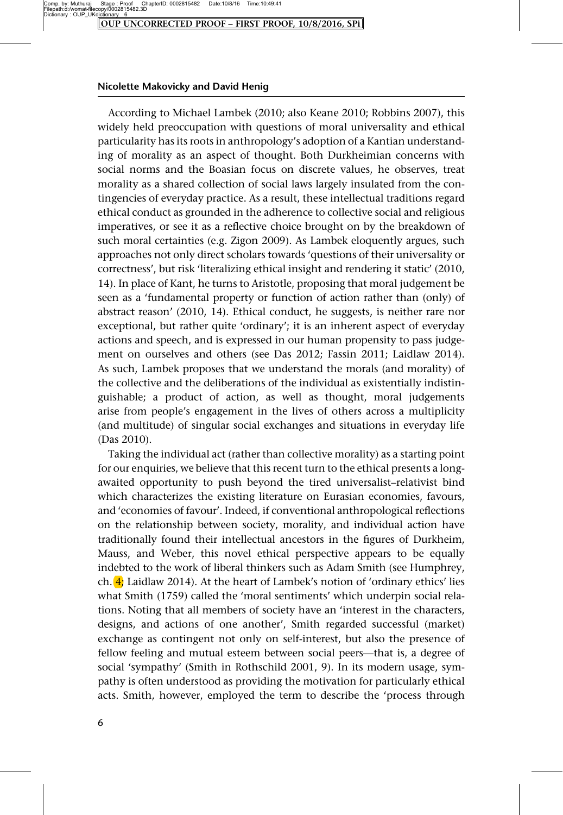#### **OUP UNCORRECTED PROOF – FIRST PROOF, 10/8/2016, SPi**

#### **Nicolette Makovicky and David Henig**

According to Michael Lambek (2010; also Keane 2010; Robbins 2007), this widely held preoccupation with questions of moral universality and ethical particularity has its roots in anthropology's adoption of a Kantian understanding of morality as an aspect of thought. Both Durkheimian concerns with social norms and the Boasian focus on discrete values, he observes, treat morality as a shared collection of social laws largely insulated from the contingencies of everyday practice. As a result, these intellectual traditions regard ethical conduct as grounded in the adherence to collective social and religious imperatives, or see it as a reflective choice brought on by the breakdown of such moral certainties (e.g. Zigon 2009). As Lambek eloquently argues, such approaches not only direct scholars towards 'questions of their universality or correctness', but risk 'literalizing ethical insight and rendering it static' (2010, 14). In place of Kant, he turns to Aristotle, proposing that moral judgement be seen as a 'fundamental property or function of action rather than (only) of abstract reason' (2010, 14). Ethical conduct, he suggests, is neither rare nor exceptional, but rather quite 'ordinary'; it is an inherent aspect of everyday actions and speech, and is expressed in our human propensity to pass judgement on ourselves and others (see Das 2012; Fassin 2011; Laidlaw 2014). As such, Lambek proposes that we understand the morals (and morality) of the collective and the deliberations of the individual as existentially indistinguishable; a product of action, as well as thought, moral judgements arise from people's engagement in the lives of others across a multiplicity (and multitude) of singular social exchanges and situations in everyday life (Das 2010).

Taking the individual act (rather than collective morality) as a starting point for our enquiries, we believe that this recent turn to the ethical presents a longawaited opportunity to push beyond the tired universalist–relativist bind which characterizes the existing literature on Eurasian economies, favours, and 'economies of favour'. Indeed, if conventional anthropological reflections on the relationship between society, morality, and individual action have traditionally found their intellectual ancestors in the figures of Durkheim, Mauss, and Weber, this novel ethical perspective appears to be equally indebted to the work of liberal thinkers such as Adam Smith (see Humphrey, ch.  $\frac{4}{3}$ : Laidlaw 2014). At the heart of Lambek's notion of 'ordinary ethics' lies what Smith (1759) called the 'moral sentiments' which underpin social relations. Noting that all members of society have an 'interest in the characters, designs, and actions of one another', Smith regarded successful (market) exchange as contingent not only on self-interest, but also the presence of fellow feeling and mutual esteem between social peers—that is, a degree of social 'sympathy' (Smith in Rothschild 2001, 9). In its modern usage, sympathy is often understood as providing the motivation for particularly ethical acts. Smith, however, employed the term to describe the 'process through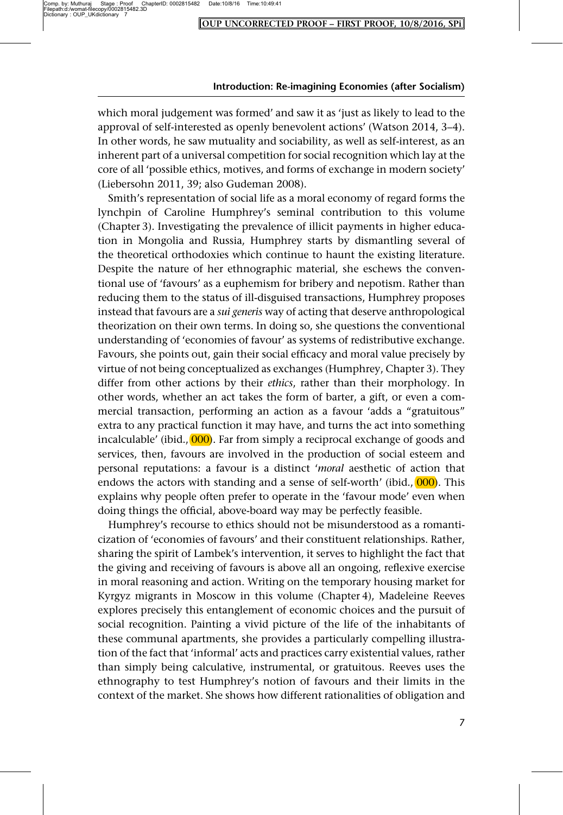which moral judgement was formed' and saw it as 'just as likely to lead to the approval of self-interested as openly benevolent actions' (Watson 2014, 3–4). In other words, he saw mutuality and sociability, as well as self-interest, as an inherent part of a universal competition for social recognition which lay at the core of all 'possible ethics, motives, and forms of exchange in modern society' (Liebersohn 2011, 39; also Gudeman 2008).

Smith's representation of social life as a moral economy of regard forms the lynchpin of Caroline Humphrey's seminal contribution to this volume (Chapter 3). Investigating the prevalence of illicit payments in higher education in Mongolia and Russia, Humphrey starts by dismantling several of the theoretical orthodoxies which continue to haunt the existing literature. Despite the nature of her ethnographic material, she eschews the conventional use of 'favours' as a euphemism for bribery and nepotism. Rather than reducing them to the status of ill-disguised transactions, Humphrey proposes instead that favours are a *sui generis* way of acting that deserve anthropological theorization on their own terms. In doing so, she questions the conventional understanding of 'economies of favour' as systems of redistributive exchange. Favours, she points out, gain their social efficacy and moral value precisely by virtue of not being conceptualized as exchanges (Humphrey, Chapter 3). They differ from other actions by their *ethics*, rather than their morphology. In other words, whether an act takes the form of barter, a gift, or even a commercial transaction, performing an action as a favour 'adds a "gratuitous" extra to any practical function it may have, and turns the act into something incalculable' (ibid., 000). Far from simply a reciprocal exchange of goods and services, then, favours are involved in the production of social esteem and personal reputations: a favour is a distinct '*moral* aesthetic of action that endows the actors with standing and a sense of self-worth' (ibid.,  $\overline{000}$ ). This explains why people often prefer to operate in the 'favour mode' even when doing things the official, above-board way may be perfectly feasible.

Humphrey's recourse to ethics should not be misunderstood as a romanticization of 'economies of favours' and their constituent relationships. Rather, sharing the spirit of Lambek's intervention, it serves to highlight the fact that the giving and receiving of favours is above all an ongoing, reflexive exercise in moral reasoning and action. Writing on the temporary housing market for Kyrgyz migrants in Moscow in this volume (Chapter 4), Madeleine Reeves explores precisely this entanglement of economic choices and the pursuit of social recognition. Painting a vivid picture of the life of the inhabitants of these communal apartments, she provides a particularly compelling illustration of the fact that 'informal' acts and practices carry existential values, rather than simply being calculative, instrumental, or gratuitous. Reeves uses the ethnography to test Humphrey's notion of favours and their limits in the context of the market. She shows how different rationalities of obligation and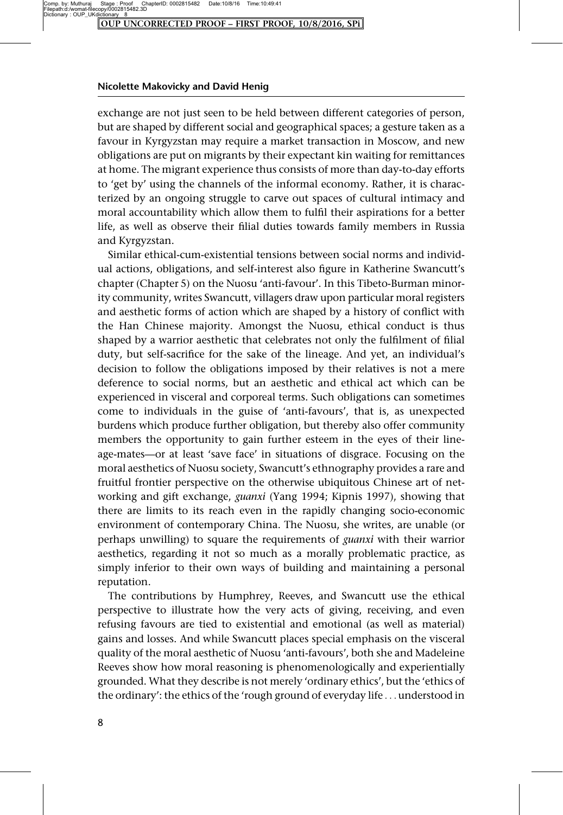exchange are not just seen to be held between different categories of person, but are shaped by different social and geographical spaces; a gesture taken as a favour in Kyrgyzstan may require a market transaction in Moscow, and new obligations are put on migrants by their expectant kin waiting for remittances at home. The migrant experience thus consists of more than day-to-day efforts to 'get by' using the channels of the informal economy. Rather, it is characterized by an ongoing struggle to carve out spaces of cultural intimacy and moral accountability which allow them to fulfil their aspirations for a better life, as well as observe their filial duties towards family members in Russia and Kyrgyzstan.

Similar ethical-cum-existential tensions between social norms and individual actions, obligations, and self-interest also figure in Katherine Swancutt's chapter (Chapter 5) on the Nuosu 'anti-favour'. In this Tibeto-Burman minority community, writes Swancutt, villagers draw upon particular moral registers and aesthetic forms of action which are shaped by a history of conflict with the Han Chinese majority. Amongst the Nuosu, ethical conduct is thus shaped by a warrior aesthetic that celebrates not only the fulfilment of filial duty, but self-sacrifice for the sake of the lineage. And yet, an individual's decision to follow the obligations imposed by their relatives is not a mere deference to social norms, but an aesthetic and ethical act which can be experienced in visceral and corporeal terms. Such obligations can sometimes come to individuals in the guise of 'anti-favours', that is, as unexpected burdens which produce further obligation, but thereby also offer community members the opportunity to gain further esteem in the eyes of their lineage-mates—or at least 'save face' in situations of disgrace. Focusing on the moral aesthetics of Nuosu society, Swancutt's ethnography provides a rare and fruitful frontier perspective on the otherwise ubiquitous Chinese art of networking and gift exchange, *guanxi* (Yang 1994; Kipnis 1997), showing that there are limits to its reach even in the rapidly changing socio-economic environment of contemporary China. The Nuosu, she writes, are unable (or perhaps unwilling) to square the requirements of *guanxi* with their warrior aesthetics, regarding it not so much as a morally problematic practice, as simply inferior to their own ways of building and maintaining a personal reputation.

The contributions by Humphrey, Reeves, and Swancutt use the ethical perspective to illustrate how the very acts of giving, receiving, and even refusing favours are tied to existential and emotional (as well as material) gains and losses. And while Swancutt places special emphasis on the visceral quality of the moral aesthetic of Nuosu 'anti-favours', both she and Madeleine Reeves show how moral reasoning is phenomenologically and experientially grounded. What they describe is not merely 'ordinary ethics', but the 'ethics of the ordinary': the ethics of the 'rough ground of everyday life ... understood in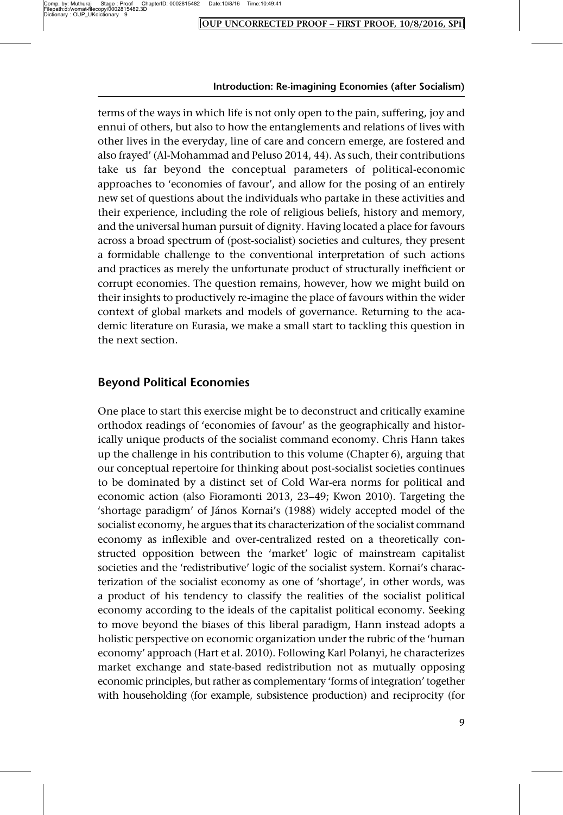terms of the ways in which life is not only open to the pain, suffering, joy and ennui of others, but also to how the entanglements and relations of lives with other lives in the everyday, line of care and concern emerge, are fostered and also frayed' (Al-Mohammad and Peluso 2014, 44). As such, their contributions take us far beyond the conceptual parameters of political-economic approaches to 'economies of favour', and allow for the posing of an entirely new set of questions about the individuals who partake in these activities and their experience, including the role of religious beliefs, history and memory, and the universal human pursuit of dignity. Having located a place for favours across a broad spectrum of (post-socialist) societies and cultures, they present a formidable challenge to the conventional interpretation of such actions and practices as merely the unfortunate product of structurally inefficient or corrupt economies. The question remains, however, how we might build on their insights to productively re-imagine the place of favours within the wider context of global markets and models of governance. Returning to the academic literature on Eurasia, we make a small start to tackling this question in the next section.

#### **Beyond Political Economies**

One place to start this exercise might be to deconstruct and critically examine orthodox readings of 'economies of favour' as the geographically and historically unique products of the socialist command economy. Chris Hann takes up the challenge in his contribution to this volume (Chapter 6), arguing that our conceptual repertoire for thinking about post-socialist societies continues to be dominated by a distinct set of Cold War-era norms for political and economic action (also Fioramonti 2013, 23–49; Kwon 2010). Targeting the 'shortage paradigm' of János Kornai's (1988) widely accepted model of the socialist economy, he argues that its characterization of the socialist command economy as inflexible and over-centralized rested on a theoretically constructed opposition between the 'market' logic of mainstream capitalist societies and the 'redistributive' logic of the socialist system. Kornai's characterization of the socialist economy as one of 'shortage', in other words, was a product of his tendency to classify the realities of the socialist political economy according to the ideals of the capitalist political economy. Seeking to move beyond the biases of this liberal paradigm, Hann instead adopts a holistic perspective on economic organization under the rubric of the 'human economy' approach (Hart et al. 2010). Following Karl Polanyi, he characterizes market exchange and state-based redistribution not as mutually opposing economic principles, but rather as complementary 'forms of integration' together with householding (for example, subsistence production) and reciprocity (for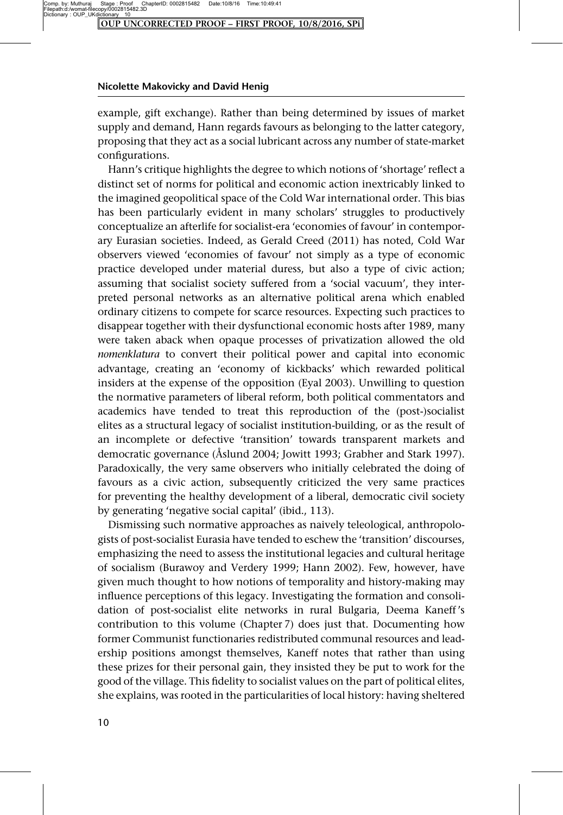example, gift exchange). Rather than being determined by issues of market supply and demand, Hann regards favours as belonging to the latter category, proposing that they act as a social lubricant across any number of state-market configurations.

Hann's critique highlights the degree to which notions of 'shortage' reflect a distinct set of norms for political and economic action inextricably linked to the imagined geopolitical space of the Cold War international order. This bias has been particularly evident in many scholars' struggles to productively conceptualize an afterlife for socialist-era 'economies of favour' in contemporary Eurasian societies. Indeed, as Gerald Creed (2011) has noted, Cold War observers viewed 'economies of favour' not simply as a type of economic practice developed under material duress, but also a type of civic action; assuming that socialist society suffered from a 'social vacuum', they interpreted personal networks as an alternative political arena which enabled ordinary citizens to compete for scarce resources. Expecting such practices to disappear together with their dysfunctional economic hosts after 1989, many were taken aback when opaque processes of privatization allowed the old *nomenklatura* to convert their political power and capital into economic advantage, creating an 'economy of kickbacks' which rewarded political insiders at the expense of the opposition (Eyal 2003). Unwilling to question the normative parameters of liberal reform, both political commentators and academics have tended to treat this reproduction of the (post-)socialist elites as a structural legacy of socialist institution-building, or as the result of an incomplete or defective 'transition' towards transparent markets and democratic governance (Åslund 2004; Jowitt 1993; Grabher and Stark 1997). Paradoxically, the very same observers who initially celebrated the doing of favours as a civic action, subsequently criticized the very same practices for preventing the healthy development of a liberal, democratic civil society by generating 'negative social capital' (ibid., 113).

Dismissing such normative approaches as naively teleological, anthropologists of post-socialist Eurasia have tended to eschew the 'transition' discourses, emphasizing the need to assess the institutional legacies and cultural heritage of socialism (Burawoy and Verdery 1999; Hann 2002). Few, however, have given much thought to how notions of temporality and history-making may influence perceptions of this legacy. Investigating the formation and consolidation of post-socialist elite networks in rural Bulgaria, Deema Kaneff's contribution to this volume (Chapter 7) does just that. Documenting how former Communist functionaries redistributed communal resources and leadership positions amongst themselves, Kaneff notes that rather than using these prizes for their personal gain, they insisted they be put to work for the good of the village. This fidelity to socialist values on the part of political elites, she explains, was rooted in the particularities of local history: having sheltered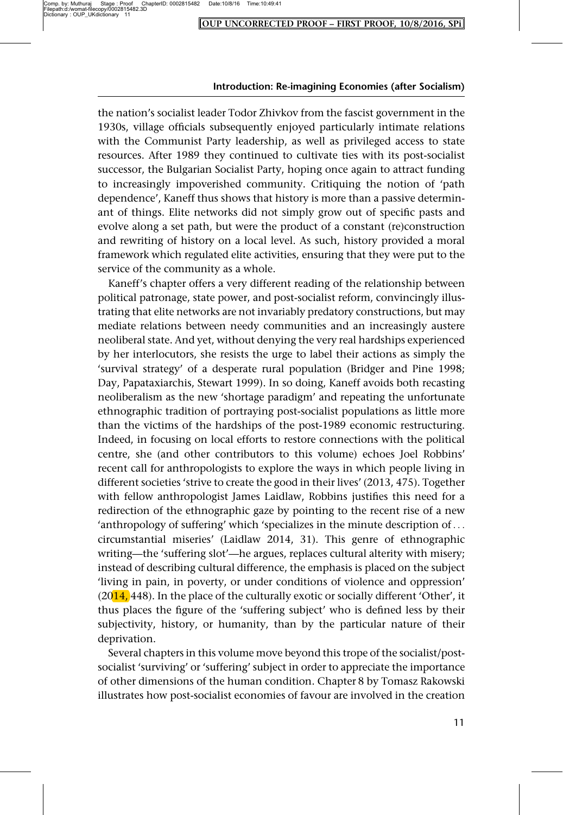the nation's socialist leader Todor Zhivkov from the fascist government in the 1930s, village officials subsequently enjoyed particularly intimate relations with the Communist Party leadership, as well as privileged access to state resources. After 1989 they continued to cultivate ties with its post-socialist successor, the Bulgarian Socialist Party, hoping once again to attract funding to increasingly impoverished community. Critiquing the notion of 'path dependence', Kaneff thus shows that history is more than a passive determinant of things. Elite networks did not simply grow out of specific pasts and evolve along a set path, but were the product of a constant (re)construction and rewriting of history on a local level. As such, history provided a moral framework which regulated elite activities, ensuring that they were put to the service of the community as a whole.

Kaneff's chapter offers a very different reading of the relationship between political patronage, state power, and post-socialist reform, convincingly illustrating that elite networks are not invariably predatory constructions, but may mediate relations between needy communities and an increasingly austere neoliberal state. And yet, without denying the very real hardships experienced by her interlocutors, she resists the urge to label their actions as simply the 'survival strategy' of a desperate rural population (Bridger and Pine 1998; Day, Papataxiarchis, Stewart 1999). In so doing, Kaneff avoids both recasting neoliberalism as the new 'shortage paradigm' and repeating the unfortunate ethnographic tradition of portraying post-socialist populations as little more than the victims of the hardships of the post-1989 economic restructuring. Indeed, in focusing on local efforts to restore connections with the political centre, she (and other contributors to this volume) echoes Joel Robbins' recent call for anthropologists to explore the ways in which people living in different societies 'strive to create the good in their lives' (2013, 475). Together with fellow anthropologist James Laidlaw, Robbins justifies this need for a redirection of the ethnographic gaze by pointing to the recent rise of a new 'anthropology of suffering' which 'specializes in the minute description of... circumstantial miseries' (Laidlaw 2014, 31). This genre of ethnographic writing—the 'suffering slot'—he argues, replaces cultural alterity with misery; instead of describing cultural difference, the emphasis is placed on the subject 'living in pain, in poverty, or under conditions of violence and oppression'  $(2014, 448)$ . In the place of the culturally exotic or socially different 'Other', it thus places the figure of the 'suffering subject' who is defined less by their subjectivity, history, or humanity, than by the particular nature of their deprivation.

Several chapters in this volume move beyond this trope of the socialist/postsocialist 'surviving' or 'suffering' subject in order to appreciate the importance of other dimensions of the human condition. Chapter 8 by Tomasz Rakowski illustrates how post-socialist economies of favour are involved in the creation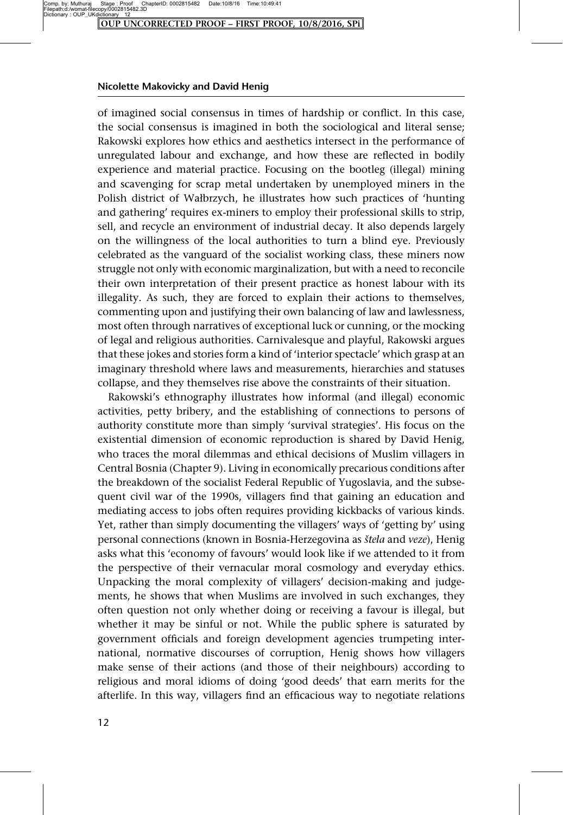of imagined social consensus in times of hardship or conflict. In this case, the social consensus is imagined in both the sociological and literal sense; Rakowski explores how ethics and aesthetics intersect in the performance of unregulated labour and exchange, and how these are reflected in bodily experience and material practice. Focusing on the bootleg (illegal) mining and scavenging for scrap metal undertaken by unemployed miners in the Polish district of Wałbrzych, he illustrates how such practices of 'hunting and gathering' requires ex-miners to employ their professional skills to strip, sell, and recycle an environment of industrial decay. It also depends largely on the willingness of the local authorities to turn a blind eye. Previously celebrated as the vanguard of the socialist working class, these miners now struggle not only with economic marginalization, but with a need to reconcile their own interpretation of their present practice as honest labour with its illegality. As such, they are forced to explain their actions to themselves, commenting upon and justifying their own balancing of law and lawlessness, most often through narratives of exceptional luck or cunning, or the mocking of legal and religious authorities. Carnivalesque and playful, Rakowski argues that these jokes and stories form a kind of 'interior spectacle' which grasp at an imaginary threshold where laws and measurements, hierarchies and statuses collapse, and they themselves rise above the constraints of their situation.

Rakowski's ethnography illustrates how informal (and illegal) economic activities, petty bribery, and the establishing of connections to persons of authority constitute more than simply 'survival strategies'. His focus on the existential dimension of economic reproduction is shared by David Henig, who traces the moral dilemmas and ethical decisions of Muslim villagers in Central Bosnia (Chapter 9). Living in economically precarious conditions after the breakdown of the socialist Federal Republic of Yugoslavia, and the subsequent civil war of the 1990s, villagers find that gaining an education and mediating access to jobs often requires providing kickbacks of various kinds. Yet, rather than simply documenting the villagers' ways of 'getting by' using personal connections (known in Bosnia-Herzegovina as *štela* and *veze*), Henig asks what this 'economy of favours' would look like if we attended to it from the perspective of their vernacular moral cosmology and everyday ethics. Unpacking the moral complexity of villagers' decision-making and judgements, he shows that when Muslims are involved in such exchanges, they often question not only whether doing or receiving a favour is illegal, but whether it may be sinful or not. While the public sphere is saturated by government officials and foreign development agencies trumpeting international, normative discourses of corruption, Henig shows how villagers make sense of their actions (and those of their neighbours) according to religious and moral idioms of doing 'good deeds' that earn merits for the afterlife. In this way, villagers find an efficacious way to negotiate relations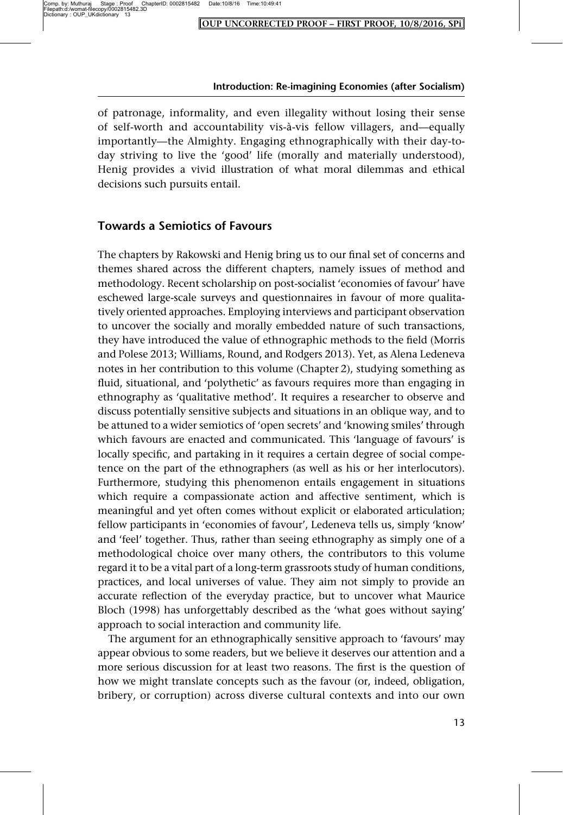of patronage, informality, and even illegality without losing their sense of self-worth and accountability vis-à-vis fellow villagers, and—equally importantly—the Almighty. Engaging ethnographically with their day-today striving to live the 'good' life (morally and materially understood), Henig provides a vivid illustration of what moral dilemmas and ethical decisions such pursuits entail.

#### **Towards a Semiotics of Favours**

The chapters by Rakowski and Henig bring us to our final set of concerns and themes shared across the different chapters, namely issues of method and methodology. Recent scholarship on post-socialist 'economies of favour' have eschewed large-scale surveys and questionnaires in favour of more qualitatively oriented approaches. Employing interviews and participant observation to uncover the socially and morally embedded nature of such transactions, they have introduced the value of ethnographic methods to the field (Morris and Polese 2013; Williams, Round, and Rodgers 2013). Yet, as Alena Ledeneva notes in her contribution to this volume (Chapter 2), studying something as fluid, situational, and 'polythetic' as favours requires more than engaging in ethnography as 'qualitative method'. It requires a researcher to observe and discuss potentially sensitive subjects and situations in an oblique way, and to be attuned to a wider semiotics of 'open secrets' and 'knowing smiles' through which favours are enacted and communicated. This 'language of favours' is locally specific, and partaking in it requires a certain degree of social competence on the part of the ethnographers (as well as his or her interlocutors). Furthermore, studying this phenomenon entails engagement in situations which require a compassionate action and affective sentiment, which is meaningful and yet often comes without explicit or elaborated articulation; fellow participants in 'economies of favour', Ledeneva tells us, simply 'know' and 'feel' together. Thus, rather than seeing ethnography as simply one of a methodological choice over many others, the contributors to this volume regard it to be a vital part of a long-term grassroots study of human conditions, practices, and local universes of value. They aim not simply to provide an accurate reflection of the everyday practice, but to uncover what Maurice Bloch (1998) has unforgettably described as the 'what goes without saying' approach to social interaction and community life.

The argument for an ethnographically sensitive approach to 'favours' may appear obvious to some readers, but we believe it deserves our attention and a more serious discussion for at least two reasons. The first is the question of how we might translate concepts such as the favour (or, indeed, obligation, bribery, or corruption) across diverse cultural contexts and into our own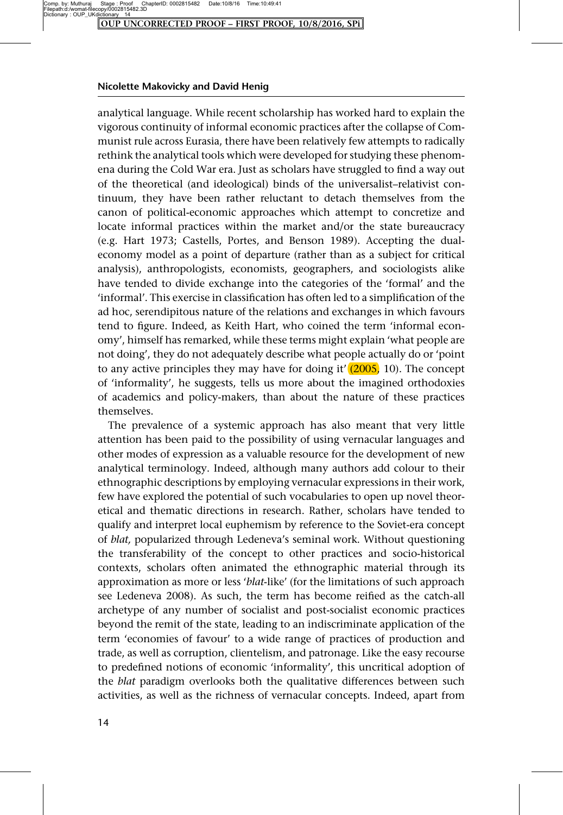analytical language. While recent scholarship has worked hard to explain the vigorous continuity of informal economic practices after the collapse of Communist rule across Eurasia, there have been relatively few attempts to radically rethink the analytical tools which were developed for studying these phenomena during the Cold War era. Just as scholars have struggled to find a way out of the theoretical (and ideological) binds of the universalist–relativist continuum, they have been rather reluctant to detach themselves from the canon of political-economic approaches which attempt to concretize and locate informal practices within the market and/or the state bureaucracy (e.g. Hart 1973; Castells, Portes, and Benson 1989). Accepting the dualeconomy model as a point of departure (rather than as a subject for critical analysis), anthropologists, economists, geographers, and sociologists alike have tended to divide exchange into the categories of the 'formal' and the 'informal'. This exercise in classification has often led to a simplification of the ad hoc, serendipitous nature of the relations and exchanges in which favours tend to figure. Indeed, as Keith Hart, who coined the term 'informal economy', himself has remarked, while these terms might explain 'what people are not doing', they do not adequately describe what people actually do or 'point to any active principles they may have for doing it'  $(2005, 10)$ . The concept of 'informality', he suggests, tells us more about the imagined orthodoxies of academics and policy-makers, than about the nature of these practices themselves.

The prevalence of a systemic approach has also meant that very little attention has been paid to the possibility of using vernacular languages and other modes of expression as a valuable resource for the development of new analytical terminology. Indeed, although many authors add colour to their ethnographic descriptions by employing vernacular expressions in their work, few have explored the potential of such vocabularies to open up novel theoretical and thematic directions in research. Rather, scholars have tended to qualify and interpret local euphemism by reference to the Soviet-era concept of *blat,* popularized through Ledeneva's seminal work. Without questioning the transferability of the concept to other practices and socio-historical contexts, scholars often animated the ethnographic material through its approximation as more or less '*blat*-like' (for the limitations of such approach see Ledeneva 2008). As such, the term has become reified as the catch-all archetype of any number of socialist and post-socialist economic practices beyond the remit of the state, leading to an indiscriminate application of the term 'economies of favour' to a wide range of practices of production and trade, as well as corruption, clientelism, and patronage. Like the easy recourse to predefined notions of economic 'informality', this uncritical adoption of the *blat* paradigm overlooks both the qualitative differences between such activities, as well as the richness of vernacular concepts. Indeed, apart from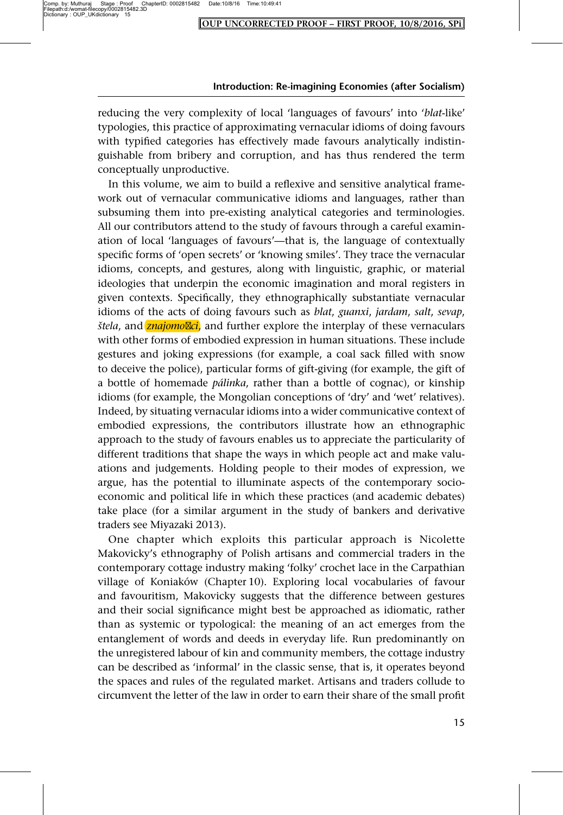reducing the very complexity of local 'languages of favours' into '*blat*-like' typologies, this practice of approximating vernacular idioms of doing favours with typified categories has effectively made favours analytically indistinguishable from bribery and corruption, and has thus rendered the term conceptually unproductive.

In this volume, we aim to build a reflexive and sensitive analytical framework out of vernacular communicative idioms and languages, rather than subsuming them into pre-existing analytical categories and terminologies. All our contributors attend to the study of favours through a careful examination of local 'languages of favours'—that is, the language of contextually specific forms of 'open secrets' or 'knowing smiles'. They trace the vernacular idioms, concepts, and gestures, along with linguistic, graphic, or material ideologies that underpin the economic imagination and moral registers in given contexts. Specifically, they ethnographically substantiate vernacular idioms of the acts of doing favours such as *blat*, *guanxi*, *jardam*, *salt*, *sevap*, *štela*, and *znajomości*, and further explore the interplay of these vernaculars with other forms of embodied expression in human situations. These include gestures and joking expressions (for example, a coal sack filled with snow to deceive the police), particular forms of gift-giving (for example, the gift of a bottle of homemade *pálinka*, rather than a bottle of cognac), or kinship idioms (for example, the Mongolian conceptions of 'dry' and 'wet' relatives). Indeed, by situating vernacular idioms into a wider communicative context of embodied expressions, the contributors illustrate how an ethnographic approach to the study of favours enables us to appreciate the particularity of different traditions that shape the ways in which people act and make valuations and judgements. Holding people to their modes of expression, we argue, has the potential to illuminate aspects of the contemporary socioeconomic and political life in which these practices (and academic debates) take place (for a similar argument in the study of bankers and derivative traders see Miyazaki 2013).

One chapter which exploits this particular approach is Nicolette Makovicky's ethnography of Polish artisans and commercial traders in the contemporary cottage industry making 'folky' crochet lace in the Carpathian village of Koniaków (Chapter 10). Exploring local vocabularies of favour and favouritism, Makovicky suggests that the difference between gestures and their social significance might best be approached as idiomatic, rather than as systemic or typological: the meaning of an act emerges from the entanglement of words and deeds in everyday life. Run predominantly on the unregistered labour of kin and community members, the cottage industry can be described as 'informal' in the classic sense, that is, it operates beyond the spaces and rules of the regulated market. Artisans and traders collude to circumvent the letter of the law in order to earn their share of the small profit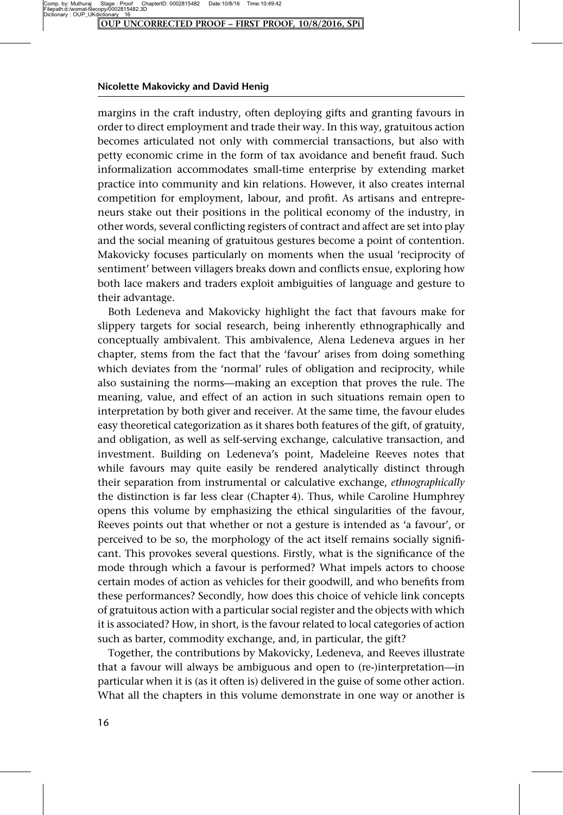margins in the craft industry, often deploying gifts and granting favours in order to direct employment and trade their way. In this way, gratuitous action becomes articulated not only with commercial transactions, but also with petty economic crime in the form of tax avoidance and benefit fraud. Such informalization accommodates small-time enterprise by extending market practice into community and kin relations. However, it also creates internal competition for employment, labour, and profit. As artisans and entrepreneurs stake out their positions in the political economy of the industry, in other words, several conflicting registers of contract and affect are set into play and the social meaning of gratuitous gestures become a point of contention. Makovicky focuses particularly on moments when the usual 'reciprocity of sentiment' between villagers breaks down and conflicts ensue, exploring how both lace makers and traders exploit ambiguities of language and gesture to their advantage.

Both Ledeneva and Makovicky highlight the fact that favours make for slippery targets for social research, being inherently ethnographically and conceptually ambivalent. This ambivalence, Alena Ledeneva argues in her chapter, stems from the fact that the 'favour' arises from doing something which deviates from the 'normal' rules of obligation and reciprocity, while also sustaining the norms—making an exception that proves the rule. The meaning, value, and effect of an action in such situations remain open to interpretation by both giver and receiver. At the same time, the favour eludes easy theoretical categorization as it shares both features of the gift, of gratuity, and obligation, as well as self-serving exchange, calculative transaction, and investment. Building on Ledeneva's point, Madeleine Reeves notes that while favours may quite easily be rendered analytically distinct through their separation from instrumental or calculative exchange, *ethnographically* the distinction is far less clear (Chapter 4). Thus, while Caroline Humphrey opens this volume by emphasizing the ethical singularities of the favour, Reeves points out that whether or not a gesture is intended as 'a favour', or perceived to be so, the morphology of the act itself remains socially significant. This provokes several questions. Firstly, what is the significance of the mode through which a favour is performed? What impels actors to choose certain modes of action as vehicles for their goodwill, and who benefits from these performances? Secondly, how does this choice of vehicle link concepts of gratuitous action with a particular social register and the objects with which it is associated? How, in short, is the favour related to local categories of action such as barter, commodity exchange, and, in particular, the gift?

Together, the contributions by Makovicky, Ledeneva, and Reeves illustrate that a favour will always be ambiguous and open to (re-)interpretation—in particular when it is (as it often is) delivered in the guise of some other action. What all the chapters in this volume demonstrate in one way or another is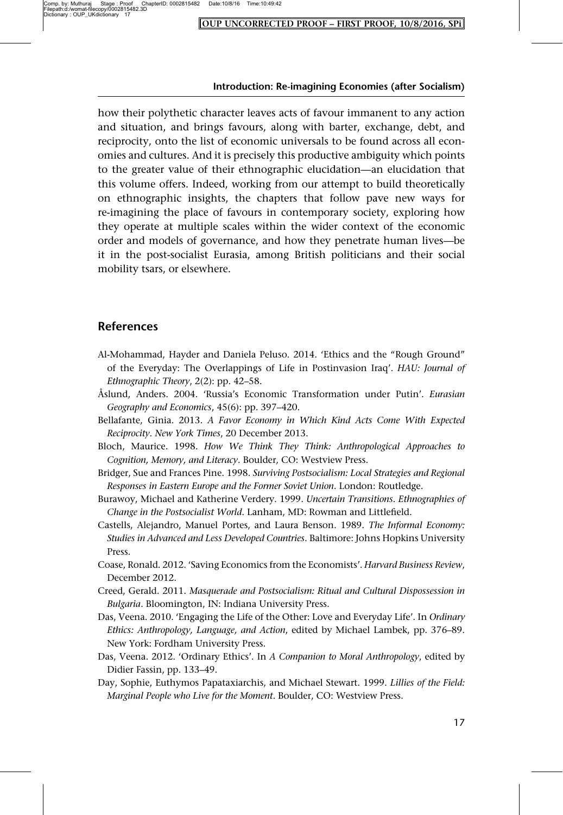how their polythetic character leaves acts of favour immanent to any action and situation, and brings favours, along with barter, exchange, debt, and reciprocity, onto the list of economic universals to be found across all economies and cultures. And it is precisely this productive ambiguity which points to the greater value of their ethnographic elucidation—an elucidation that this volume offers. Indeed, working from our attempt to build theoretically on ethnographic insights, the chapters that follow pave new ways for re-imagining the place of favours in contemporary society, exploring how they operate at multiple scales within the wider context of the economic order and models of governance, and how they penetrate human lives—be it in the post-socialist Eurasia, among British politicians and their social mobility tsars, or elsewhere.

#### **References**

- Al-Mohammad, Hayder and Daniela Peluso. 2014. 'Ethics and the "Rough Ground" of the Everyday: The Overlappings of Life in Postinvasion Iraq'. *HAU: Journal of Ethnographic Theory*, 2(2): pp. 42–58.
- Åslund, Anders. 2004. 'Russia's Economic Transformation under Putin'. *Eurasian Geography and Economics*, 45(6): pp. 397–420.
- Bellafante, Ginia. 2013. *A Favor Economy in Which Kind Acts Come With Expected Reciprocity*. *New York Times*, 20 December 2013.
- Bloch, Maurice. 1998. *How We Think They Think: Anthropological Approaches to Cognition, Memory, and Literacy*. Boulder, CO: Westview Press.
- Bridger, Sue and Frances Pine. 1998. *Surviving Postsocialism: Local Strategies and Regional Responses in Eastern Europe and the Former Soviet Union*. London: Routledge.
- Burawoy, Michael and Katherine Verdery. 1999. *Uncertain Transitions. Ethnographies of Change in the Postsocialist World*. Lanham, MD: Rowman and Littlefield.
- Castells, Alejandro, Manuel Portes, and Laura Benson. 1989. *The Informal Economy: Studies in Advanced and Less Developed Countries*. Baltimore: Johns Hopkins University Press.
- Coase, Ronald. 2012. 'Saving Economics from the Economists'. *Harvard Business Review*, December 2012.
- Creed, Gerald. 2011. *Masquerade and Postsocialism: Ritual and Cultural Dispossession in Bulgaria*. Bloomington, IN: Indiana University Press.
- Das, Veena. 2010. 'Engaging the Life of the Other: Love and Everyday Life'. In *Ordinary Ethics: Anthropology, Language, and Action*, edited by Michael Lambek, pp. 376–89. New York: Fordham University Press.
- Das, Veena. 2012. 'Ordinary Ethics'. In *A Companion to Moral Anthropology*, edited by Didier Fassin, pp. 133–49.
- Day, Sophie, Euthymos Papataxiarchis, and Michael Stewart. 1999. *Lillies of the Field: Marginal People who Live for the Moment*. Boulder, CO: Westview Press.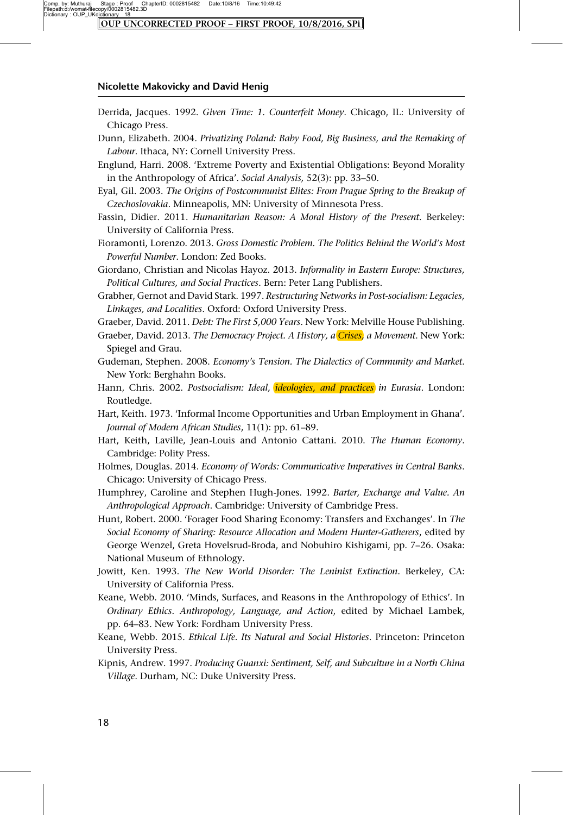Comp. by: Muthuraj Stage : Proof ChapterID: 0002815482 Date:10/8/16 Time:10:49:42 Filepath:d:/womat-filecopy/0002815482.3D mopaama.womat mooopy.coo.<br>Dictionary : OUP\_UKdictionary

#### **OUP UNCORRECTED PROOF – FIRST PROOF, 10/8/2016, SPi**

#### **Nicolette Makovicky and David Henig**

- Derrida, Jacques. 1992. *Given Time: 1. Counterfeit Money*. Chicago, IL: University of Chicago Press.
- Dunn, Elizabeth. 2004. *Privatizing Poland: Baby Food, Big Business, and the Remaking of Labour*. Ithaca, NY: Cornell University Press.
- Englund, Harri. 2008. 'Extreme Poverty and Existential Obligations: Beyond Morality in the Anthropology of Africa'. *Social Analysis,* 52(3): pp. 33–50.
- Eyal, Gil. 2003. *The Origins of Postcommunist Elites: From Prague Spring to the Breakup of Czechoslovakia*. Minneapolis, MN: University of Minnesota Press.
- Fassin, Didier. 2011. *Humanitarian Reason: A Moral History of the Present*. Berkeley: University of California Press.
- Fioramonti, Lorenzo. 2013. *Gross Domestic Problem. The Politics Behind the World's Most Powerful Number*. London: Zed Books.
- Giordano, Christian and Nicolas Hayoz. 2013. *Informality in Eastern Europe: Structures, Political Cultures, and Social Practices*. Bern: Peter Lang Publishers.
- Grabher, Gernot and David Stark. 1997. *Restructuring Networks in Post-socialism: Legacies, Linkages, and Localities*. Oxford: Oxford University Press.
- Graeber, David. 2011. *Debt: The First 5,000 Years*. New York: Melville House Publishing.
- Graeber, David. 2013. *The Democracy Project. A History, a Crises, a Movement*. New York: Spiegel and Grau.
- Gudeman, Stephen. 2008. *Economy's Tension. The Dialectics of Community and Market*. New York: Berghahn Books.
- Hann, Chris. 2002. *Postsocialism: Ideal, ideologies, and practices in Eurasia*. London: Routledge.
- Hart, Keith. 1973. 'Informal Income Opportunities and Urban Employment in Ghana'. *Journal of Modern African Studies*, 11(1): pp. 61–89.
- Hart, Keith, Laville, Jean-Louis and Antonio Cattani. 2010. *The Human Economy*. Cambridge: Polity Press.
- Holmes, Douglas. 2014. *Economy of Words: Communicative Imperatives in Central Banks*. Chicago: University of Chicago Press.
- Humphrey, Caroline and Stephen Hugh-Jones. 1992. *Barter, Exchange and Value. An Anthropological Approach*. Cambridge: University of Cambridge Press.
- Hunt, Robert. 2000. 'Forager Food Sharing Economy: Transfers and Exchanges'. In *The Social Economy of Sharing: Resource Allocation and Modern Hunter-Gatherers*, edited by George Wenzel, Greta Hovelsrud-Broda, and Nobuhiro Kishigami, pp. 7–26. Osaka: National Museum of Ethnology.
- Jowitt, Ken. 1993. *The New World Disorder: The Leninist Extinction*. Berkeley, CA: University of California Press.
- Keane, Webb. 2010. 'Minds, Surfaces, and Reasons in the Anthropology of Ethics'. In *Ordinary Ethics. Anthropology, Language, and Action*, edited by Michael Lambek, pp. 64–83. New York: Fordham University Press.
- Keane, Webb. 2015. *Ethical Life. Its Natural and Social Histories*. Princeton: Princeton University Press.
- Kipnis, Andrew. 1997. *Producing Guanxi: Sentiment, Self, and Subculture in a North China Village*. Durham, NC: Duke University Press.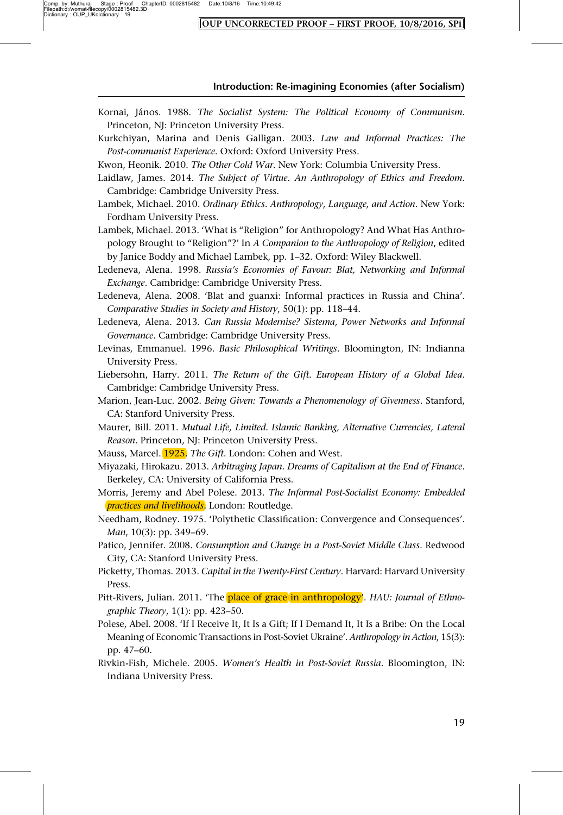| Kornai, János. 1988. The Socialist System: The Political Economy of Communism.<br>Princeton, NJ: Princeton University Press.                                                                                                                         |
|------------------------------------------------------------------------------------------------------------------------------------------------------------------------------------------------------------------------------------------------------|
| Kurkchiyan, Marina and Denis Galligan. 2003. Law and Informal Practices: The<br>Post-communist Experience. Oxford: Oxford University Press.                                                                                                          |
| Kwon, Heonik. 2010. The Other Cold War. New York: Columbia University Press.                                                                                                                                                                         |
| Laidlaw, James. 2014. The Subject of Virtue. An Anthropology of Ethics and Freedom.<br>Cambridge: Cambridge University Press.                                                                                                                        |
| Lambek, Michael. 2010. Ordinary Ethics. Anthropology, Language, and Action. New York:<br>Fordham University Press.                                                                                                                                   |
| Lambek, Michael. 2013. 'What is "Religion" for Anthropology? And What Has Anthro-<br>pology Brought to "Religion"?' In A Companion to the Anthropology of Religion, edited<br>by Janice Boddy and Michael Lambek, pp. 1-32. Oxford: Wiley Blackwell. |
| Ledeneva, Alena. 1998. Russia's Economies of Favour: Blat, Networking and Informal<br>Exchange. Cambridge: Cambridge University Press.                                                                                                               |
| Ledeneva, Alena. 2008. 'Blat and guanxi: Informal practices in Russia and China'.<br>Comparative Studies in Society and History, 50(1): pp. 118-44.                                                                                                  |
| Ledeneva, Alena. 2013. Can Russia Modernise? Sistema, Power Networks and Informal                                                                                                                                                                    |
| Governance. Cambridge: Cambridge University Press.                                                                                                                                                                                                   |
| Levinas, Emmanuel. 1996. Basic Philosophical Writings. Bloomington, IN: Indianna                                                                                                                                                                     |
| <b>University Press.</b>                                                                                                                                                                                                                             |
| Liebersohn, Harry. 2011. The Return of the Gift. European History of a Global Idea.<br>Cambridge: Cambridge University Press.                                                                                                                        |
| Marion, Jean-Luc. 2002. Being Given: Towards a Phenomenology of Givenness. Stanford,                                                                                                                                                                 |
| CA: Stanford University Press.                                                                                                                                                                                                                       |
| Maurer, Bill. 2011. Mutual Life, Limited. Islamic Banking, Alternative Currencies, Lateral                                                                                                                                                           |
| Reason. Princeton, NJ: Princeton University Press.                                                                                                                                                                                                   |
| Mauss, Marcel. <mark>1925.</mark> The Gift. London: Cohen and West.                                                                                                                                                                                  |
| Miyazaki, Hirokazu. 2013. Arbitraging Japan. Dreams of Capitalism at the End of Finance.<br>Berkeley, CA: University of California Press.                                                                                                            |
| Morris, Jeremy and Abel Polese. 2013. The Informal Post-Socialist Economy: Embedded                                                                                                                                                                  |
| <i>practices and livelihoods</i> . London: Routledge.                                                                                                                                                                                                |
| Needham, Rodney. 1975. 'Polythetic Classification: Convergence and Consequences'.                                                                                                                                                                    |
| Man, 10(3): pp. 349-69.                                                                                                                                                                                                                              |
| Patico, Jennifer. 2008. Consumption and Change in a Post-Soviet Middle Class. Redwood                                                                                                                                                                |
| City, CA: Stanford University Press.                                                                                                                                                                                                                 |
| Picketty, Thomas. 2013. Capital in the Twenty-First Century. Harvard: Harvard University                                                                                                                                                             |
| Press.                                                                                                                                                                                                                                               |
| Pitt-Rivers, Julian. 2011. 'The <mark>place of grace in anthropology'</mark> . <i>HAU: Journal of Ethno</i> -                                                                                                                                        |
| graphic Theory, 1(1): pp. 423-50.                                                                                                                                                                                                                    |
| Polese, Abel. 2008. 'If I Receive It, It Is a Gift; If I Demand It, It Is a Bribe: On the Local                                                                                                                                                      |
| Meaning of Economic Transactions in Post-Soviet Ukraine'. Anthropology in Action, 15(3):<br>pp. 47-60.                                                                                                                                               |
| Rivkin-Fish, Michele. 2005. Women's Health in Post-Soviet Russia. Bloomington, IN:<br>Indiana University Press.                                                                                                                                      |